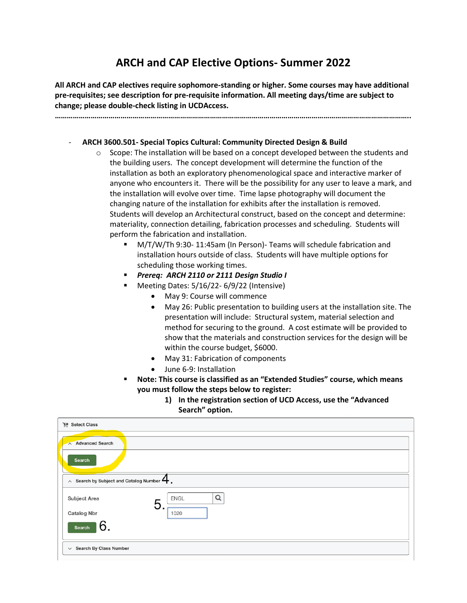# **ARCH and CAP Elective Options- Summer 2022**

**All ARCH and CAP electives require sophomore-standing or higher. Some courses may have additional pre-requisites; see description for pre-requisite information. All meeting days/time are subject to change; please double-check listing in UCDAccess.**

**……………………………………………………………………………………………………………………………………………………………..**

#### - **ARCH 3600.501- Special Topics Cultural: Community Directed Design & Build**

- $\circ$  Scope: The installation will be based on a concept developed between the students and the building users. The concept development will determine the function of the installation as both an exploratory phenomenological space and interactive marker of anyone who encounters it. There will be the possibility for any user to leave a mark, and the installation will evolve over time. Time lapse photography will document the changing nature of the installation for exhibits after the installation is removed. Students will develop an Architectural construct, based on the concept and determine: materiality, connection detailing, fabrication processes and scheduling. Students will perform the fabrication and installation.
	- M/T/W/Th 9:30-11:45am (In Person)- Teams will schedule fabrication and installation hours outside of class. Students will have multiple options for scheduling those working times.
	- *Prereq: ARCH 2110 or 2111 Design Studio I*
	- Meeting Dates: 5/16/22- 6/9/22 (Intensive)
		- May 9: Course will commence
		- May 26: Public presentation to building users at the installation site. The presentation will include: Structural system, material selection and method for securing to the ground. A cost estimate will be provided to show that the materials and construction services for the design will be within the course budget, \$6000.
		- May 31: Fabrication of components
		- June 6-9: Installation
	- **Note: This course is classified as an "Extended Studies" course, which means you must follow the steps below to register:**
		- **1) In the registration section of UCD Access, use the "Advanced Search" option.**

| Select Class                                                         |                       |
|----------------------------------------------------------------------|-----------------------|
| Advanced Search                                                      |                       |
| <b>Search</b>                                                        |                       |
| $\wedge$ Search by Subject and Catalog Number $\blacktriangleleft$ . |                       |
| Subject Area                                                         | Q<br><b>ENGL</b><br>b |
| <b>Catalog Nbr</b>                                                   | 1020                  |
| 6.<br>Search                                                         |                       |
| $\vee$ Search By Class Number                                        |                       |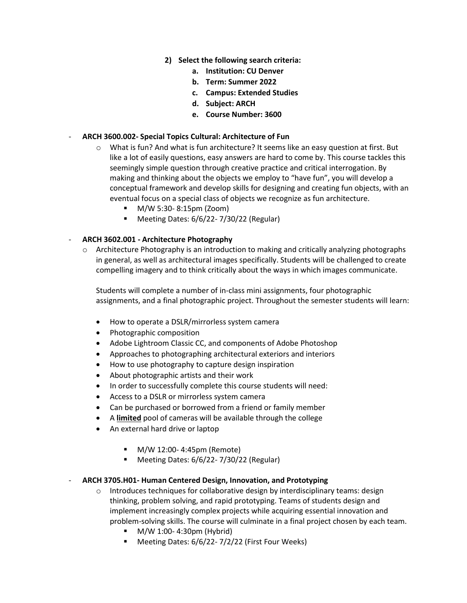- **2) Select the following search criteria:**
	- **a. Institution: CU Denver**
	- **b. Term: Summer 2022**
	- **c. Campus: Extended Studies**
	- **d. Subject: ARCH**
	- **e. Course Number: 3600**

#### - **ARCH 3600.002- Special Topics Cultural: Architecture of Fun**

- $\circ$  What is fun? And what is fun architecture? It seems like an easy question at first. But like a lot of easily questions, easy answers are hard to come by. This course tackles this seemingly simple question through creative practice and critical interrogation. By making and thinking about the objects we employ to "have fun", you will develop a conceptual framework and develop skills for designing and creating fun objects, with an eventual focus on a special class of objects we recognize as fun architecture.
	- M/W 5:30- 8:15pm (Zoom)
	- Meeting Dates: 6/6/22-7/30/22 (Regular)

## - **ARCH 3602.001 - Architecture Photography**

 $\circ$  Architecture Photography is an introduction to making and critically analyzing photographs in general, as well as architectural images specifically. Students will be challenged to create compelling imagery and to think critically about the ways in which images communicate.

Students will complete a number of in-class mini assignments, four photographic assignments, and a final photographic project. Throughout the semester students will learn:

- How to operate a DSLR/mirrorless system camera
- Photographic composition
- Adobe Lightroom Classic CC, and components of Adobe Photoshop
- Approaches to photographing architectural exteriors and interiors
- How to use photography to capture design inspiration
- About photographic artists and their work
- In order to successfully complete this course students will need:
- Access to a DSLR or mirrorless system camera
- Can be purchased or borrowed from a friend or family member
- A **limited** pool of cameras will be available through the college
- An external hard drive or laptop
	- M/W 12:00-4:45pm (Remote)
	- Meeting Dates: 6/6/22-7/30/22 (Regular)

## - **ARCH 3705.H01- Human Centered Design, Innovation, and Prototyping**

- $\circ$  Introduces techniques for collaborative design by interdisciplinary teams: design thinking, problem solving, and rapid prototyping. Teams of students design and implement increasingly complex projects while acquiring essential innovation and problem-solving skills. The course will culminate in a final project chosen by each team.
	- M/W 1:00-4:30pm (Hybrid)
	- Meeting Dates: 6/6/22- 7/2/22 (First Four Weeks)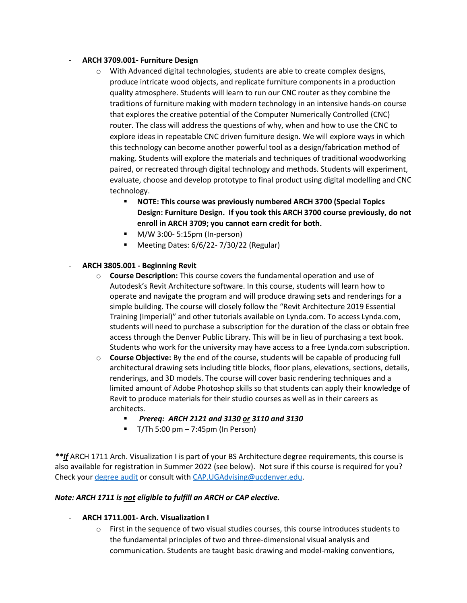## - **ARCH 3709.001- Furniture Design**

- $\circ$  With Advanced digital technologies, students are able to create complex designs, produce intricate wood objects, and replicate furniture components in a production quality atmosphere. Students will learn to run our CNC router as they combine the traditions of furniture making with modern technology in an intensive hands-on course that explores the creative potential of the Computer Numerically Controlled (CNC) router. The class will address the questions of why, when and how to use the CNC to explore ideas in repeatable CNC driven furniture design. We will explore ways in which this technology can become another powerful tool as a design/fabrication method of making. Students will explore the materials and techniques of traditional woodworking paired, or recreated through digital technology and methods. Students will experiment, evaluate, choose and develop prototype to final product using digital modelling and CNC technology.
	- **NOTE: This course was previously numbered ARCH 3700 (Special Topics Design: Furniture Design. If you took this ARCH 3700 course previously, do not enroll in ARCH 3709; you cannot earn credit for both.**
	- M/W 3:00- 5:15pm (In-person)
	- Meeting Dates: 6/6/22-7/30/22 (Regular)

# - **ARCH 3805.001 - Beginning Revit**

- o **Course Description:** This course covers the fundamental operation and use of Autodesk's Revit Architecture software. In this course, students will learn how to operate and navigate the program and will produce drawing sets and renderings for a simple building. The course will closely follow the "Revit Architecture 2019 Essential Training (Imperial)" and other tutorials available on Lynda.com. To access Lynda.com, students will need to purchase a subscription for the duration of the class or obtain free access through the Denver Public Library. This will be in lieu of purchasing a text book. Students who work for the university may have access to a free Lynda.com subscription.
- o **Course Objective:** By the end of the course, students will be capable of producing full architectural drawing sets including title blocks, floor plans, elevations, sections, details, renderings, and 3D models. The course will cover basic rendering techniques and a limited amount of Adobe Photoshop skills so that students can apply their knowledge of Revit to produce materials for their studio courses as well as in their careers as architects.
	- *Prereq: ARCH 2121 and 3130 or 3110 and 3130*
	- $\blacksquare$  T/Th 5:00 pm 7:45pm (In Person)

*\*\*If* ARCH 1711 Arch. Visualization I is part of your BS Architecture degree requirements, this course is also available for registration in Summer 2022 (see below). Not sure if this course is required for you? Check your [degree audit](https://datc.prod.cu.edu/selfservice-cuden/general/home.html) or consult with [CAP.UGAdvising@ucdenver.edu.](mailto:CAP.UGAdvising@ucdenver.edu)

## *Note: ARCH 1711 is not eligible to fulfill an ARCH or CAP elective.*

## - **ARCH 1711.001- Arch. Visualization I**

o First in the sequence of two visual studies courses, this course introduces students to the fundamental principles of two and three-dimensional visual analysis and communication. Students are taught basic drawing and model-making conventions,